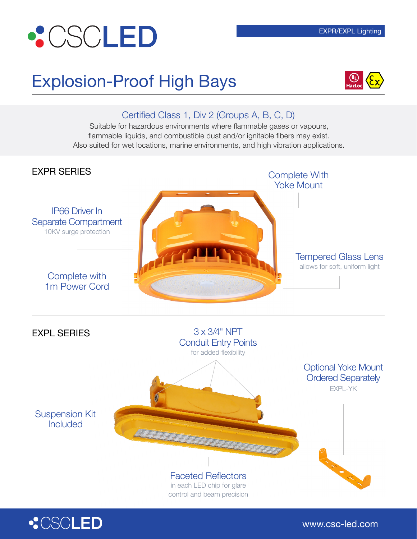# **•CSCLED**

### Explosion-Proof High Bays



#### Certified Class 1, Div 2 (Groups A, B, C, D)

Suitable for hazardous environments where flammable gases or vapours, flammable liquids, and combustible dust and/or ignitable fibers may exist. Also suited for wet locations, marine environments, and high vibration applications.